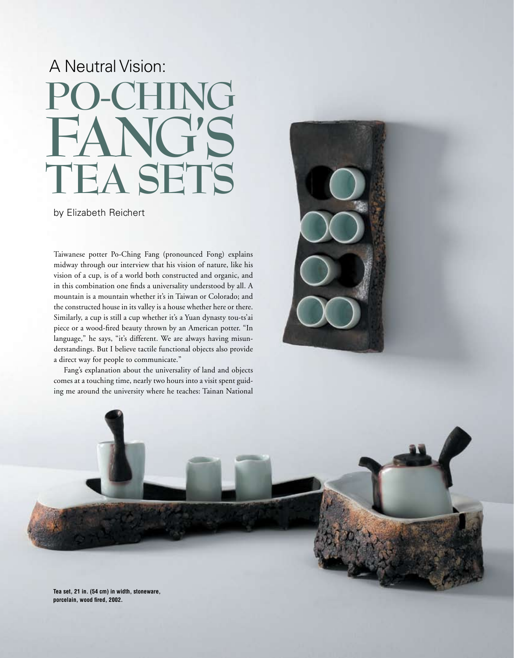## A Neutral Vision: **Po-Ching Fang's Tea Sets**

by Elizabeth Reichert

Taiwanese potter Po-Ching Fang (pronounced Fong) explains midway through our interview that his vision of nature, like his vision of a cup, is of a world both constructed and organic, and in this combination one finds a universality understood by all. A mountain is a mountain whether it's in Taiwan or Colorado; and the constructed house in its valley is a house whether here or there. Similarly, a cup is still a cup whether it's a Yuan dynasty tou-ts'ai piece or a wood-fired beauty thrown by an American potter. "In language," he says, "it's different. We are always having misunderstandings. But I believe tactile functional objects also provide a direct way for people to communicate."

Fang's explanation about the universality of land and objects comes at a touching time, nearly two hours into a visit spent guiding me around the university where he teaches: Tainan National





**Tea set, 21 in. (54 cm) in width, stoneware, porcelain, wood fired, 2002.**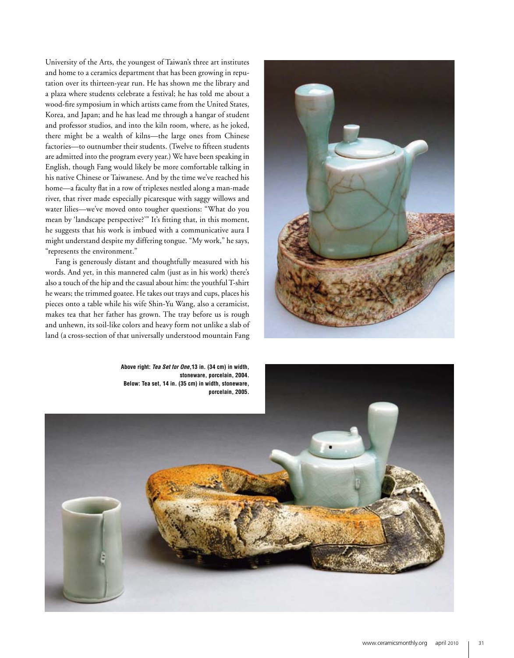University of the Arts, the youngest of Taiwan's three art institutes and home to a ceramics department that has been growing in reputation over its thirteen-year run. He has shown me the library and a plaza where students celebrate a festival; he has told me about a wood-fire symposium in which artists came from the United States, Korea, and Japan; and he has lead me through a hangar of student and professor studios, and into the kiln room, where, as he joked, there might be a wealth of kilns—the large ones from Chinese factories—to outnumber their students. (Twelve to fifteen students are admitted into the program every year.) We have been speaking in English, though Fang would likely be more comfortable talking in his native Chinese or Taiwanese. And by the time we've reached his home—a faculty flat in a row of triplexes nestled along a man-made river, that river made especially picaresque with saggy willows and water lilies—we've moved onto tougher questions: "What do you mean by 'landscape perspective?'" It's fitting that, in this moment, he suggests that his work is imbued with a communicative aura I might understand despite my differing tongue. "My work," he says, "represents the environment."

Fang is generously distant and thoughtfully measured with his words. And yet, in this mannered calm (just as in his work) there's also a touch of the hip and the casual about him: the youthful T-shirt he wears; the trimmed goatee. He takes out trays and cups, places his pieces onto a table while his wife Shin-Yu Wang, also a ceramicist, makes tea that her father has grown. The tray before us is rough and unhewn, its soil-like colors and heavy form not unlike a slab of land (a cross-section of that universally understood mountain Fang



**Above right:** *Tea Set for One***,13 in. (34 cm) in width, stoneware, porcelain, 2004. Below: Tea set, 14 in. (35 cm) in width, stoneware,** 

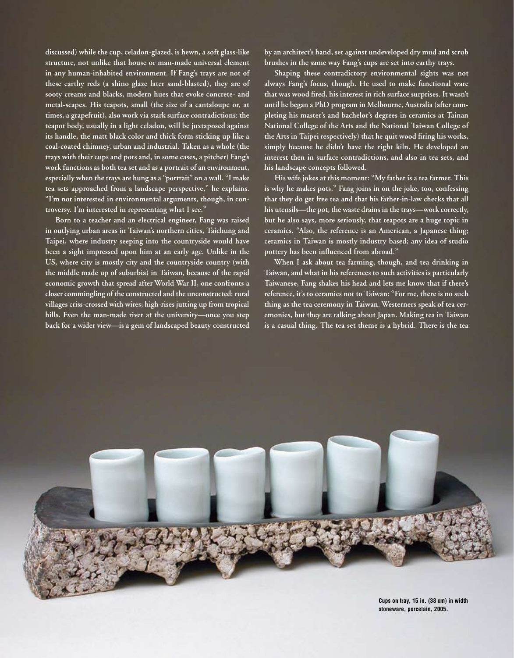**discussed) while the cup, celadon-glazed, is hewn, a soft glass-like structure, not unlike that house or man-made universal element in any human-inhabited environment. If Fang's trays are not of these earthy reds (a shino glaze later sand-blasted), they are of sooty creams and blacks, modern hues that evoke concrete- and metal-scapes. His teapots, small (the size of a cantaloupe or, at times, a grapefruit), also work via stark surface contradictions: the teapot body, usually in a light celadon, will be juxtaposed against its handle, the matt black color and thick form sticking up like a coal-coated chimney, urban and industrial. Taken as a whole (the trays with their cups and pots and, in some cases, a pitcher) Fang's work functions as both tea set and as a portrait of an environment, especially when the trays are hung as a "portrait" on a wall. "I make tea sets approached from a landscape perspective," he explains. "I'm not interested in environmental arguments, though, in controversy. I'm interested in representing what I see."** 

**Born to a teacher and an electrical engineer, Fang was raised in outlying urban areas in Taiwan's northern cities, Taichung and Taipei, where industry seeping into the countryside would have been a sight impressed upon him at an early age. Unlike in the US, where city is mostly city and the countryside country (with the middle made up of suburbia) in Taiwan, because of the rapid economic growth that spread after World War II, one confronts a closer commingling of the constructed and the unconstructed: rural villages criss-crossed with wires; high-rises jutting up from tropical hills. Even the man-made river at the university—once you step back for a wider view—is a gem of landscaped beauty constructed** 

**by an architect's hand, set against undeveloped dry mud and scrub brushes in the same way Fang's cups are set into earthy trays.** 

**Shaping these contradictory environmental sights was not always Fang's focus, though. He used to make functional ware that was wood fired, his interest in rich surface surprises. It wasn't until he began a PhD program in Melbourne, Australia (after completing his master's and bachelor's degrees in ceramics at Tainan National College of the Arts and the National Taiwan College of the Arts in Taipei respectively) that he quit wood firing his works, simply because he didn't have the right kiln. He developed an interest then in surface contradictions, and also in tea sets, and his landscape concepts followed.** 

**His wife jokes at this moment: "My father is a tea farmer. This is why he makes pots." Fang joins in on the joke, too, confessing that they do get free tea and that his father-in-law checks that all his utensils—the pot, the waste drains in the trays—work correctly, but he also says, more seriously, that teapots are a huge topic in ceramics. "Also, the reference is an American, a Japanese thing; ceramics in Taiwan is mostly industry based; any idea of studio pottery has been influenced from abroad."** 

**When I ask about tea farming, though, and tea drinking in Taiwan, and what in his references to such activities is particularly Taiwanese, Fang shakes his head and lets me know that if there's reference, it's to ceramics not to Taiwan: "For me, there is no such thing as the tea ceremony in Taiwan. Westerners speak of tea ceremonies, but they are talking about Japan. Making tea in Taiwan is a casual thing. The tea set theme is a hybrid. There is the tea**



**Cups on tray, 15 in. (38 cm) in width stoneware, porcelain, 2005.**